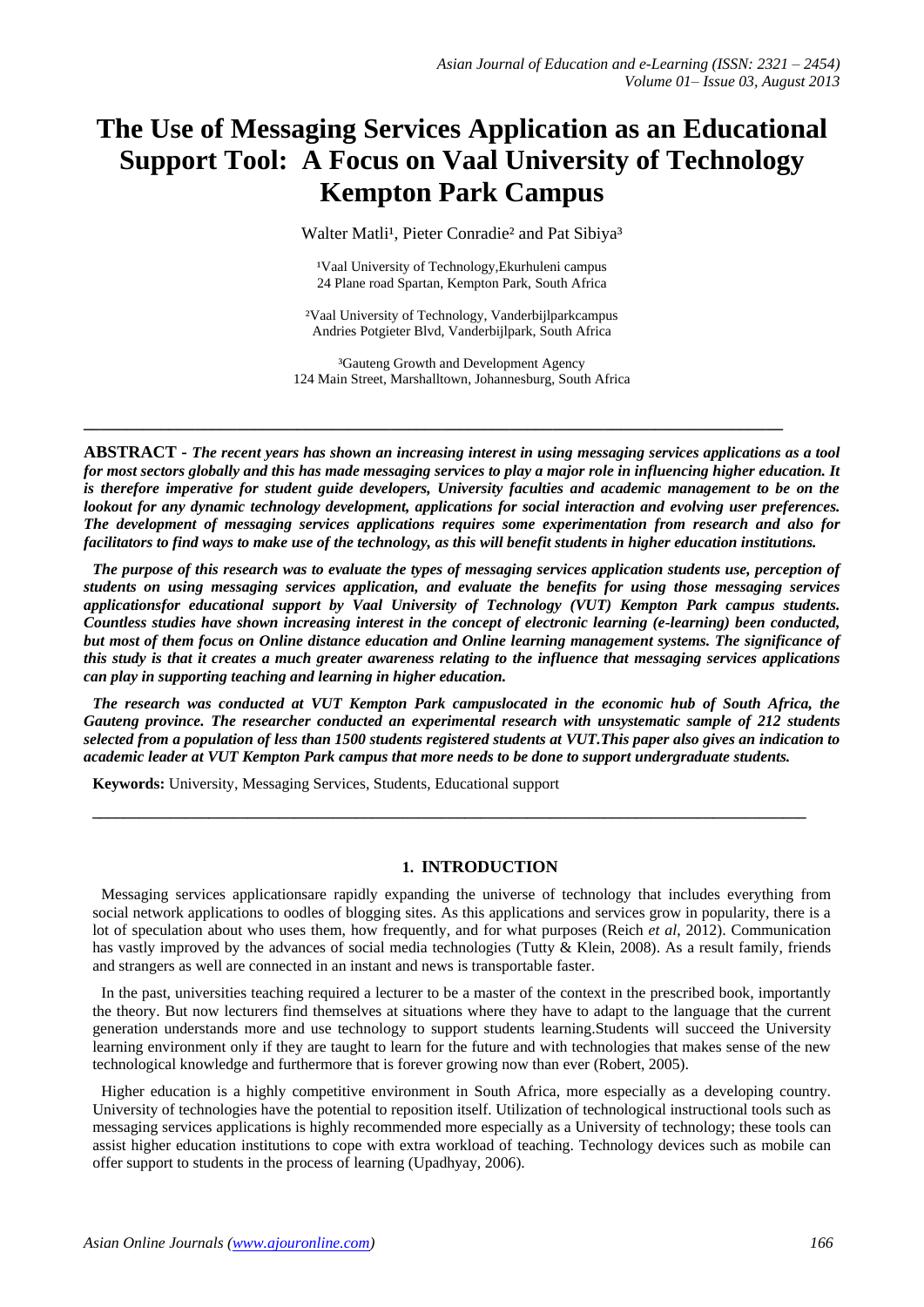# **The Use of Messaging Services Application as an Educational Support Tool: A Focus on Vaal University of Technology Kempton Park Campus**

Walter Matli<sup>1</sup>, Pieter Conradie<sup>2</sup> and Pat Sibiya<sup>3</sup>

<sup>1</sup>Vaal University of Technology, Ekurhuleni campus 24 Plane road Spartan, Kempton Park, South Africa

²Vaal University of Technology, Vanderbijlparkcampus Andries Potgieter Blvd, Vanderbijlpark, South Africa

³Gauteng Growth and Development Agency 124 Main Street, Marshalltown, Johannesburg, South Africa

**\_\_\_\_\_\_\_\_\_\_\_\_\_\_\_\_\_\_\_\_\_\_\_\_\_\_\_\_\_\_\_\_\_\_\_\_\_\_\_\_\_\_\_\_\_\_\_\_\_\_\_\_\_\_\_\_\_\_\_\_\_\_\_\_\_\_\_\_\_\_\_\_\_\_\_\_\_\_\_\_\_\_**

**ABSTRACT -** *The recent years has shown an increasing interest in using messaging services applications as a tool for most sectors globally and this has made messaging services to play a major role in influencing higher education. It*  is therefore imperative for student guide developers, University faculties and academic management to be on the *lookout for any dynamic technology development, applications for social interaction and evolving user preferences. The development of messaging services applications requires some experimentation from research and also for facilitators to find ways to make use of the technology, as this will benefit students in higher education institutions.*

*The purpose of this research was to evaluate the types of messaging services application students use, perception of students on using messaging services application, and evaluate the benefits for using those messaging services applicationsfor educational support by Vaal University of Technology (VUT) Kempton Park campus students. Countless studies have shown increasing interest in the concept of electronic learning (e-learning) been conducted, but most of them focus on Online distance education and Online learning management systems. The significance of this study is that it creates a much greater awareness relating to the influence that messaging services applications can play in supporting teaching and learning in higher education.*

*The research was conducted at VUT Kempton Park campuslocated in the economic hub of South Africa, the Gauteng province. The researcher conducted an experimental research with unsystematic sample of 212 students selected from a population of less than 1500 students registered students at VUT.This paper also gives an indication to academic leader at VUT Kempton Park campus that more needs to be done to support undergraduate students.*

**\_\_\_\_\_\_\_\_\_\_\_\_\_\_\_\_\_\_\_\_\_\_\_\_\_\_\_\_\_\_\_\_\_\_\_\_\_\_\_\_\_\_\_\_\_\_\_\_\_\_\_\_\_\_\_\_\_\_\_\_\_\_\_\_\_\_\_\_\_\_\_\_\_\_\_\_\_\_\_\_\_\_\_\_\_\_\_\_\_\_\_\_**

**Keywords:** University, Messaging Services, Students, Educational support

## **1. INTRODUCTION**

Messaging services applicationsare rapidly expanding the universe of technology that includes everything from social network applications to oodles of blogging sites. As this applications and services grow in popularity, there is a lot of speculation about who uses them, how frequently, and for what purposes (Reich *et al*, 2012). Communication has vastly improved by the advances of social media technologies (Tutty & Klein, 2008). As a result family, friends and strangers as well are connected in an instant and news is transportable faster.

In the past, universities teaching required a lecturer to be a master of the context in the prescribed book, importantly the theory. But now lecturers find themselves at situations where they have to adapt to the language that the current generation understands more and use technology to support students learning.Students will succeed the University learning environment only if they are taught to learn for the future and with technologies that makes sense of the new technological knowledge and furthermore that is forever growing now than ever (Robert, 2005).

Higher education is a highly competitive environment in South Africa, more especially as a developing country. University of technologies have the potential to reposition itself. Utilization of technological instructional tools such as messaging services applications is highly recommended more especially as a University of technology; these tools can assist higher education institutions to cope with extra workload of teaching. Technology devices such as mobile can offer support to students in the process of learning (Upadhyay, 2006).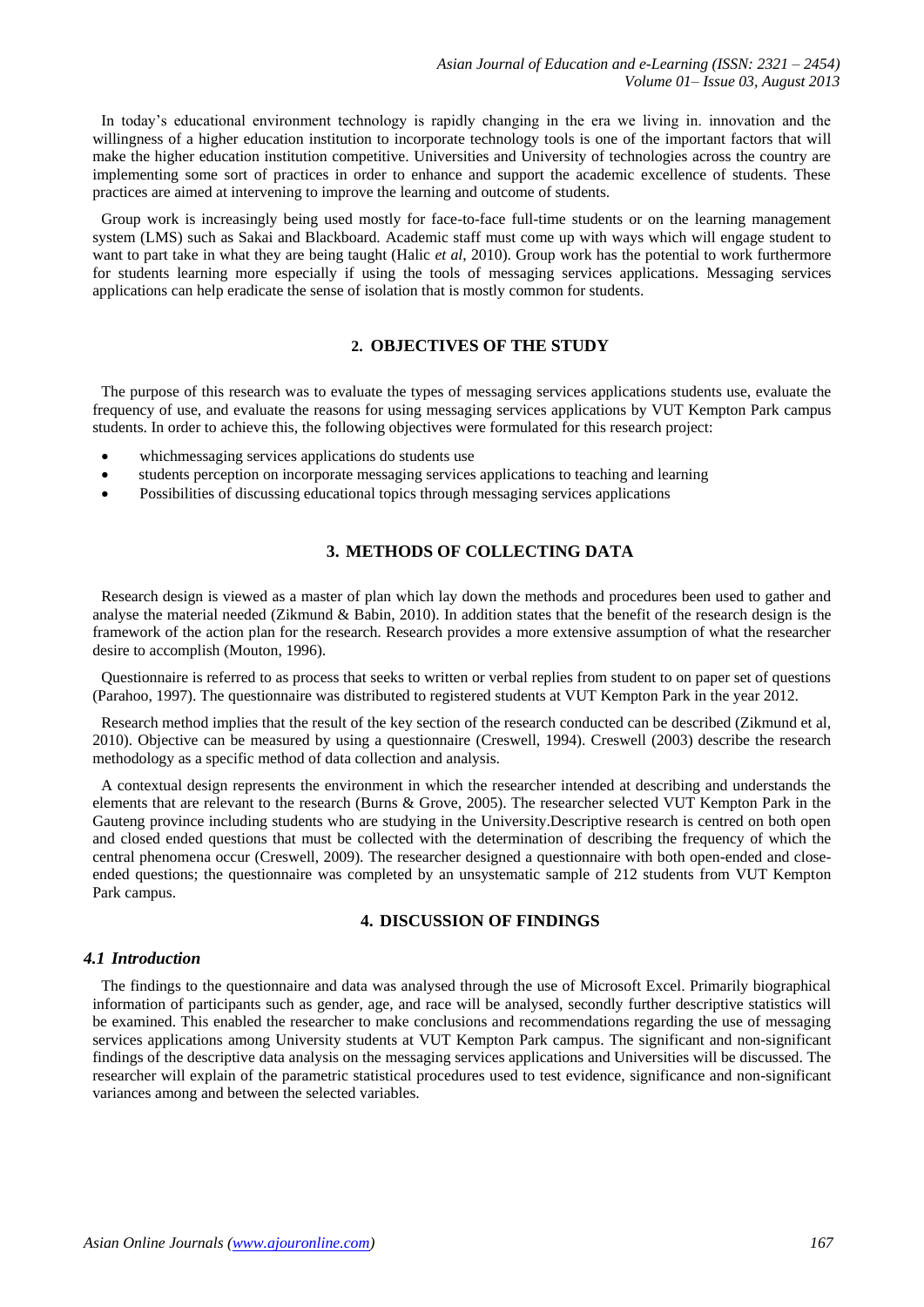In today's educational environment technology is rapidly changing in the era we living in. innovation and the willingness of a higher education institution to incorporate technology tools is one of the important factors that will make the higher education institution competitive. Universities and University of technologies across the country are implementing some sort of practices in order to enhance and support the academic excellence of students. These practices are aimed at intervening to improve the learning and outcome of students.

Group work is increasingly being used mostly for face-to-face full-time students or on the learning management system (LMS) such as Sakai and Blackboard. Academic staff must come up with ways which will engage student to want to part take in what they are being taught (Halic *et al*, 2010). Group work has the potential to work furthermore for students learning more especially if using the tools of messaging services applications. Messaging services applications can help eradicate the sense of isolation that is mostly common for students.

## **2. OBJECTIVES OF THE STUDY**

The purpose of this research was to evaluate the types of messaging services applications students use, evaluate the frequency of use, and evaluate the reasons for using messaging services applications by VUT Kempton Park campus students. In order to achieve this, the following objectives were formulated for this research project:

- whichmessaging services applications do students use
- students perception on incorporate messaging services applications to teaching and learning
- Possibilities of discussing educational topics through messaging services applications

# **3. METHODS OF COLLECTING DATA**

Research design is viewed as a master of plan which lay down the methods and procedures been used to gather and analyse the material needed (Zikmund & Babin, 2010). In addition states that the benefit of the research design is the framework of the action plan for the research. Research provides a more extensive assumption of what the researcher desire to accomplish (Mouton, 1996).

Questionnaire is referred to as process that seeks to written or verbal replies from student to on paper set of questions (Parahoo, 1997). The questionnaire was distributed to registered students at VUT Kempton Park in the year 2012.

Research method implies that the result of the key section of the research conducted can be described (Zikmund et al, 2010). Objective can be measured by using a questionnaire (Creswell, 1994). Creswell (2003) describe the research methodology as a specific method of data collection and analysis.

A contextual design represents the environment in which the researcher intended at describing and understands the elements that are relevant to the research (Burns & Grove, 2005). The researcher selected VUT Kempton Park in the Gauteng province including students who are studying in the University.Descriptive research is centred on both open and closed ended questions that must be collected with the determination of describing the frequency of which the central phenomena occur (Creswell, 2009). The researcher designed a questionnaire with both open-ended and closeended questions; the questionnaire was completed by an unsystematic sample of 212 students from VUT Kempton Park campus.

## **4. DISCUSSION OF FINDINGS**

## *4.1 Introduction*

The findings to the questionnaire and data was analysed through the use of Microsoft Excel. Primarily biographical information of participants such as gender, age, and race will be analysed, secondly further descriptive statistics will be examined. This enabled the researcher to make conclusions and recommendations regarding the use of messaging services applications among University students at VUT Kempton Park campus. The significant and non-significant findings of the descriptive data analysis on the messaging services applications and Universities will be discussed. The researcher will explain of the parametric statistical procedures used to test evidence, significance and non-significant variances among and between the selected variables.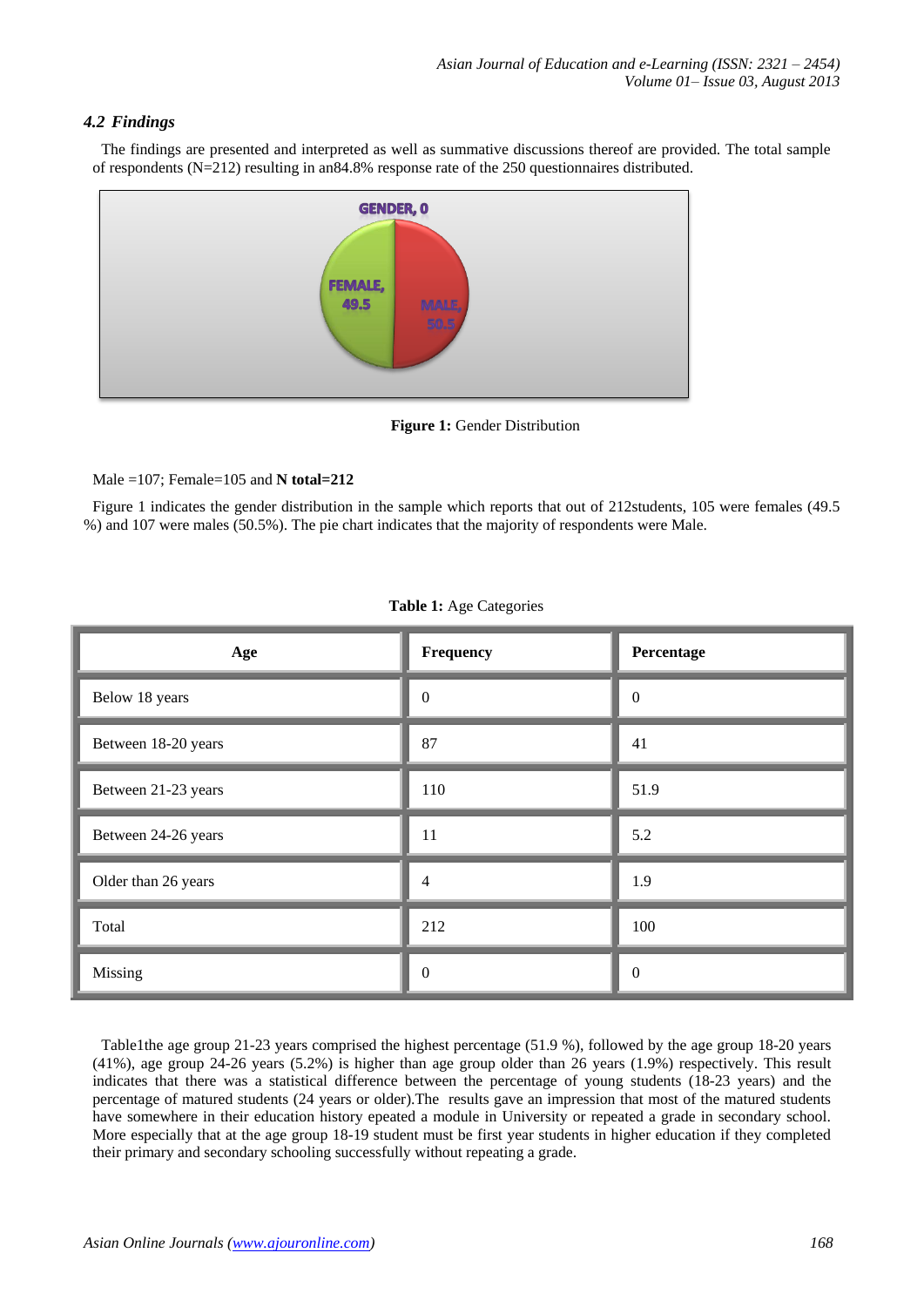# *4.2 Findings*

The findings are presented and interpreted as well as summative discussions thereof are provided. The total sample of respondents (N=212) resulting in an84.8% response rate of the 250 questionnaires distributed.



**Figure 1:** Gender Distribution

#### Male =107; Female=105 and **N total=212**

Figure 1 indicates the gender distribution in the sample which reports that out of 212students, 105 were females (49.5 %) and 107 were males (50.5%). The pie chart indicates that the majority of respondents were Male.

| Age                 | Frequency        | Percentage       |
|---------------------|------------------|------------------|
| Below 18 years      | $\boldsymbol{0}$ | $\boldsymbol{0}$ |
| Between 18-20 years | 87               | 41               |
| Between 21-23 years | 110              | 51.9             |
| Between 24-26 years | 11               | 5.2              |
| Older than 26 years | 4                | 1.9              |
| Total               | 212              | 100              |
| Missing             | $\theta$         | $\boldsymbol{0}$ |

| Table 1: Age Categories |  |  |  |  |
|-------------------------|--|--|--|--|
|-------------------------|--|--|--|--|

Table1the age group 21-23 years comprised the highest percentage (51.9 %), followed by the age group 18-20 years (41%), age group 24-26 years (5.2%) is higher than age group older than 26 years (1.9%) respectively. This result indicates that there was a statistical difference between the percentage of young students (18-23 years) and the percentage of matured students (24 years or older).The results gave an impression that most of the matured students have somewhere in their education history epeated a module in University or repeated a grade in secondary school. More especially that at the age group 18-19 student must be first year students in higher education if they completed their primary and secondary schooling successfully without repeating a grade.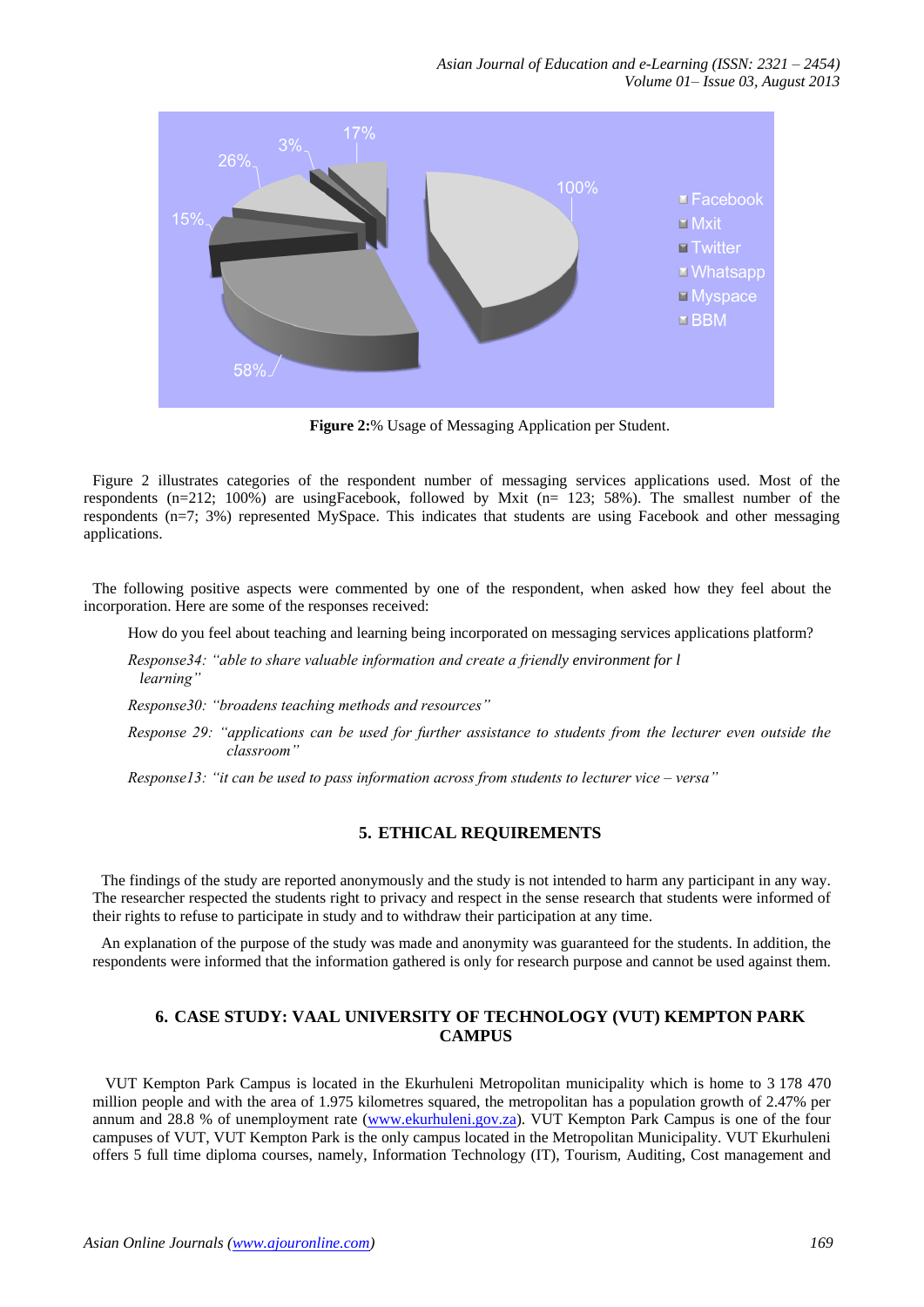

**Figure 2:**% Usage of Messaging Application per Student.

Figure 2 illustrates categories of the respondent number of messaging services applications used. Most of the respondents (n=212; 100%) are usingFacebook, followed by Mxit (n= 123; 58%). The smallest number of the respondents (n=7; 3%) represented MySpace. This indicates that students are using Facebook and other messaging applications.

The following positive aspects were commented by one of the respondent, when asked how they feel about the incorporation. Here are some of the responses received:

How do you feel about teaching and learning being incorporated on messaging services applications platform?

*Response34: "able to share valuable information and create a friendly environment for l learning"*

*Response30: "broadens teaching methods and resources"*

*Response 29: "applications can be used for further assistance to students from the lecturer even outside the classroom"*

*Response13: "it can be used to pass information across from students to lecturer vice – versa"* 

# **5. ETHICAL REQUIREMENTS**

The findings of the study are reported anonymously and the study is not intended to harm any participant in any way. The researcher respected the students right to privacy and respect in the sense research that students were informed of their rights to refuse to participate in study and to withdraw their participation at any time.

An explanation of the purpose of the study was made and anonymity was guaranteed for the students. In addition, the respondents were informed that the information gathered is only for research purpose and cannot be used against them.

# **6. CASE STUDY: VAAL UNIVERSITY OF TECHNOLOGY (VUT) KEMPTON PARK CAMPUS**

VUT Kempton Park Campus is located in the Ekurhuleni Metropolitan municipality which is home to 3 178 470 million people and with the area of 1.975 kilometres squared, the metropolitan has a population growth of 2.47% per annum and 28.8 % of unemployment rate [\(www.ekurhuleni.gov.za\)](http://www.ekurhuleni.gov.za/). VUT Kempton Park Campus is one of the four campuses of VUT, VUT Kempton Park is the only campus located in the Metropolitan Municipality. VUT Ekurhuleni offers 5 full time diploma courses, namely, Information Technology (IT), Tourism, Auditing, Cost management and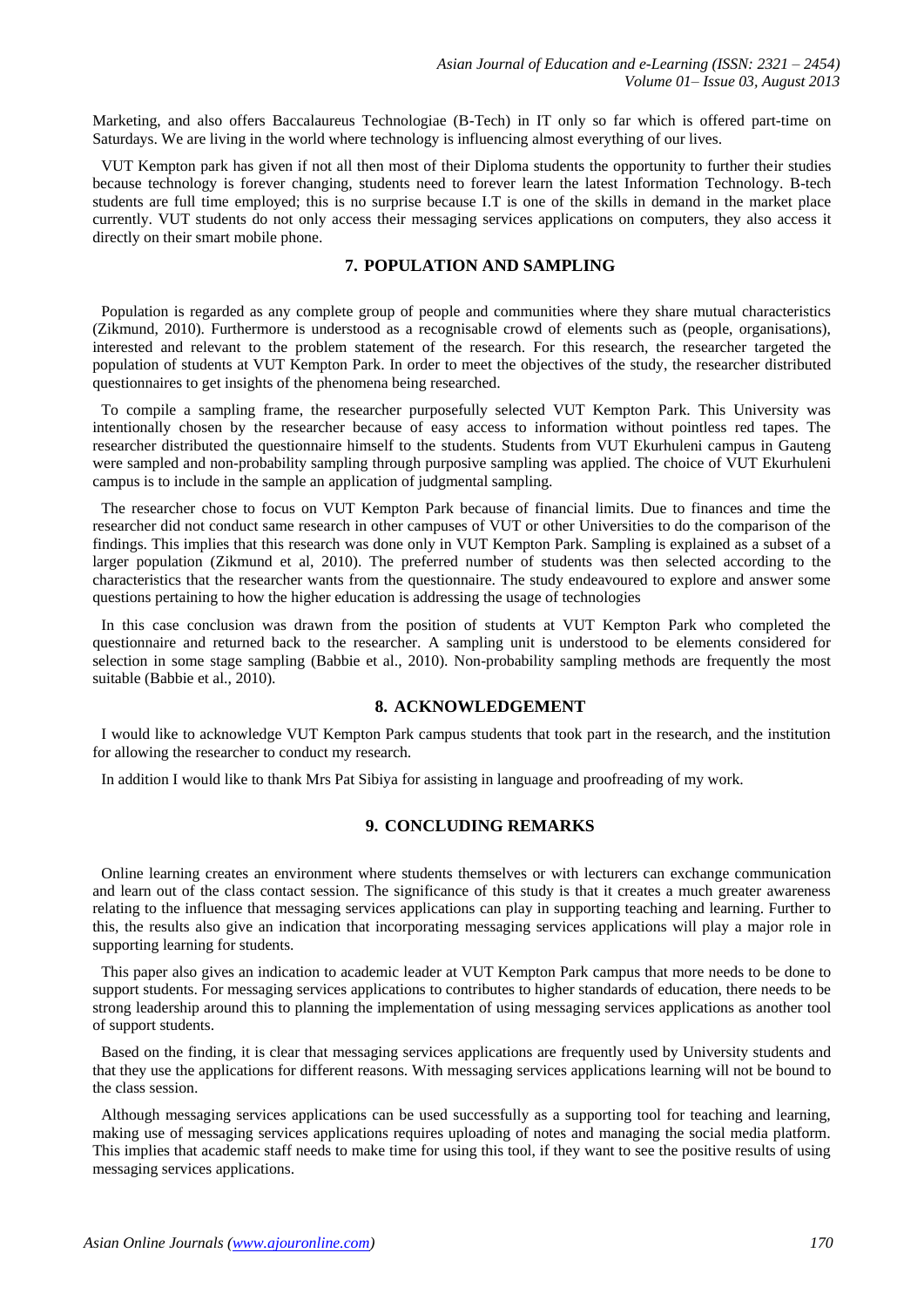Marketing, and also offers Baccalaureus Technologiae (B-Tech) in IT only so far which is offered part-time on Saturdays. We are living in the world where technology is influencing almost everything of our lives.

VUT Kempton park has given if not all then most of their Diploma students the opportunity to further their studies because technology is forever changing, students need to forever learn the latest Information Technology. B-tech students are full time employed; this is no surprise because I.T is one of the skills in demand in the market place currently. VUT students do not only access their messaging services applications on computers, they also access it directly on their smart mobile phone.

# **7. POPULATION AND SAMPLING**

Population is regarded as any complete group of people and communities where they share mutual characteristics (Zikmund, 2010). Furthermore is understood as a recognisable crowd of elements such as (people, organisations), interested and relevant to the problem statement of the research. For this research, the researcher targeted the population of students at VUT Kempton Park. In order to meet the objectives of the study, the researcher distributed questionnaires to get insights of the phenomena being researched.

To compile a sampling frame, the researcher purposefully selected VUT Kempton Park. This University was intentionally chosen by the researcher because of easy access to information without pointless red tapes. The researcher distributed the questionnaire himself to the students. Students from VUT Ekurhuleni campus in Gauteng were sampled and non-probability sampling through purposive sampling was applied. The choice of VUT Ekurhuleni campus is to include in the sample an application of judgmental sampling.

The researcher chose to focus on VUT Kempton Park because of financial limits. Due to finances and time the researcher did not conduct same research in other campuses of VUT or other Universities to do the comparison of the findings. This implies that this research was done only in VUT Kempton Park. Sampling is explained as a subset of a larger population (Zikmund et al, 2010). The preferred number of students was then selected according to the characteristics that the researcher wants from the questionnaire. The study endeavoured to explore and answer some questions pertaining to how the higher education is addressing the usage of technologies

In this case conclusion was drawn from the position of students at VUT Kempton Park who completed the questionnaire and returned back to the researcher. A sampling unit is understood to be elements considered for selection in some stage sampling (Babbie et al., 2010). Non-probability sampling methods are frequently the most suitable (Babbie et al., 2010).

## **8. ACKNOWLEDGEMENT**

I would like to acknowledge VUT Kempton Park campus students that took part in the research, and the institution for allowing the researcher to conduct my research.

In addition I would like to thank Mrs Pat Sibiya for assisting in language and proofreading of my work.

## **9. CONCLUDING REMARKS**

Online learning creates an environment where students themselves or with lecturers can exchange communication and learn out of the class contact session. The significance of this study is that it creates a much greater awareness relating to the influence that messaging services applications can play in supporting teaching and learning. Further to this, the results also give an indication that incorporating messaging services applications will play a major role in supporting learning for students.

This paper also gives an indication to academic leader at VUT Kempton Park campus that more needs to be done to support students. For messaging services applications to contributes to higher standards of education, there needs to be strong leadership around this to planning the implementation of using messaging services applications as another tool of support students.

Based on the finding, it is clear that messaging services applications are frequently used by University students and that they use the applications for different reasons. With messaging services applications learning will not be bound to the class session.

Although messaging services applications can be used successfully as a supporting tool for teaching and learning, making use of messaging services applications requires uploading of notes and managing the social media platform. This implies that academic staff needs to make time for using this tool, if they want to see the positive results of using messaging services applications.